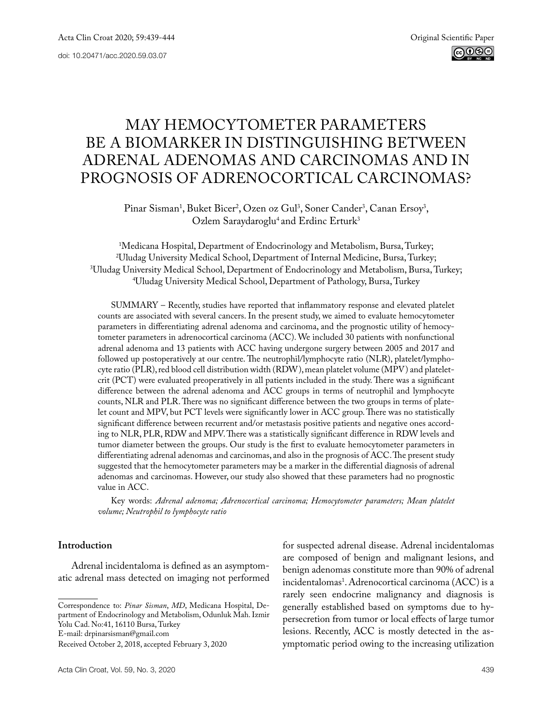# May hemocytometer parameters be a biomarker in distinguishing between adrenal adenomas and carcinomas and in prognosis of adrenocortical carcinomas?

Pinar Sisman<sup>1</sup>, Buket Bicer<sup>2</sup>, Ozen oz Gul<sup>3</sup>, Soner Cander<sup>3</sup>, Canan Ersoy<sup>3</sup>, Ozlem Saraydaroglu<sup>4</sup> and Erdinc Erturk<sup>3</sup>

<sup>1</sup>Medicana Hospital, Department of Endocrinology and Metabolism, Bursa, Turkey; <sup>2</sup>Uludag University Medical School, Department of Internal Medicine, Bursa, Turkey; Uludag University Medical School, Department of Internal Medicine, Bursa, Turkey; 3 Uludag University Medical School, Department of Endocrinology and Metabolism, Bursa, Turkey; 4 Uludag University Medical School, Department of Pathology, Bursa, Turkey

SUMMARY – Recently, studies have reported that inflammatory response and elevated platelet counts are associated with several cancers. In the present study, we aimed to evaluate hemocytometer parameters in differentiating adrenal adenoma and carcinoma, and the prognostic utility of hemocytometer parameters in adrenocortical carcinoma (ACC). We included 30 patients with nonfunctional adrenal adenoma and 13 patients with ACC having undergone surgery between 2005 and 2017 and followed up postoperatively at our centre. The neutrophil/lymphocyte ratio (NLR), platelet/lymphocyte ratio (PLR), red blood cell distribution width (RDW), mean platelet volume (MPV) and plateletcrit (PCT) were evaluated preoperatively in all patients included in the study. There was a significant difference between the adrenal adenoma and ACC groups in terms of neutrophil and lymphocyte counts, NLR and PLR. There was no significant difference between the two groups in terms of platelet count and MPV, but PCT levels were significantly lower in ACC group. There was no statistically significant difference between recurrent and/or metastasis positive patients and negative ones according to NLR, PLR, RDW and MPV. There was a statistically significant difference in RDW levels and tumor diameter between the groups. Our study is the first to evaluate hemocytometer parameters in differentiating adrenal adenomas and carcinomas, and also in the prognosis of ACC. The present study suggested that the hemocytometer parameters may be a marker in the differential diagnosis of adrenal adenomas and carcinomas. However, our study also showed that these parameters had no prognostic value in ACC.

Key words: *Adrenal adenoma; Adrenocortical carcinoma; Hemocytometer parameters; Mean platelet volume; Neutrophil to lymphocyte ratio*

# **Introduction**

Adrenal incidentaloma is defined as an asymptomatic adrenal mass detected on imaging not performed

E-mail: [drpinarsisman@gmail.com](mailto:drpinarsisman@gmail.com)

for suspected adrenal disease. Adrenal incidentalomas are composed of benign and malignant lesions, and benign adenomas constitute more than 90% of adrenal incidentalomas1 . Adrenocortical carcinoma (ACC) is a rarely seen endocrine malignancy and diagnosis is generally established based on symptoms due to hypersecretion from tumor or local effects of large tumor lesions. Recently, ACC is mostly detected in the asymptomatic period owing to the increasing utilization

Correspondence to: *Pinar Sisman*, *MD*, Medicana Hospital, Department of Endocrinology and Metabolism, Odunluk Mah. Izmir Yolu Cad. No:41, 16110 Bursa, Turkey

Received October 2, 2018, accepted February 3, 2020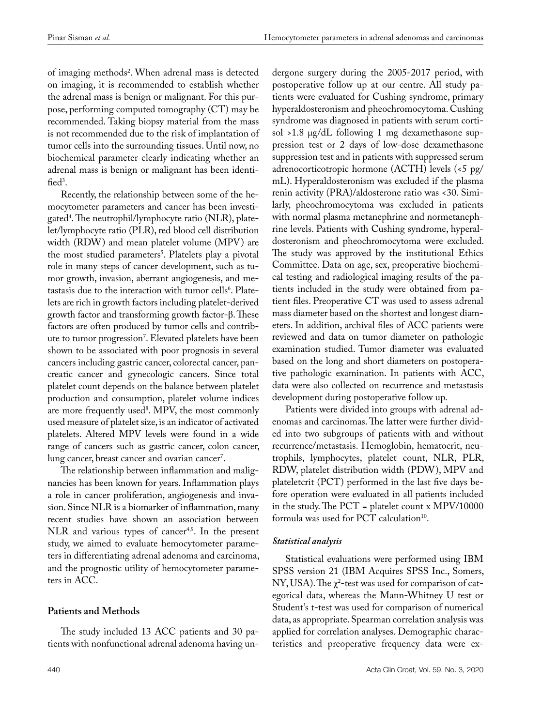of imaging methods2 . When adrenal mass is detected on imaging, it is recommended to establish whether the adrenal mass is benign or malignant. For this purpose, performing computed tomography (CT) may be recommended. Taking biopsy material from the mass is not recommended due to the risk of implantation of tumor cells into the surrounding tissues. Until now, no biochemical parameter clearly indicating whether an adrenal mass is benign or malignant has been identified<sup>3</sup>.

Recently, the relationship between some of the hemocytometer parameters and cancer has been investigated4 . The neutrophil/lymphocyte ratio (NLR), platelet/lymphocyte ratio (PLR), red blood cell distribution width (RDW) and mean platelet volume (MPV) are the most studied parameters<sup>3</sup>. Platelets play a pivotal role in many steps of cancer development, such as tumor growth, invasion, aberrant angiogenesis, and metastasis due to the interaction with tumor cells<sup>6</sup>. Platelets are rich in growth factors including platelet-derived growth factor and transforming growth factor-β. These factors are often produced by tumor cells and contribute to tumor progression7 . Elevated platelets have been shown to be associated with poor prognosis in several cancers including gastric cancer, colorectal cancer, pancreatic cancer and gynecologic cancers. Since total platelet count depends on the balance between platelet production and consumption, platelet volume indices are more frequently used<sup>8</sup>. MPV, the most commonly used measure of platelet size, is an indicator of activated platelets. Altered MPV levels were found in a wide range of cancers such as gastric cancer, colon cancer, lung cancer, breast cancer and ovarian cancer<sup>7</sup>.

The relationship between inflammation and malignancies has been known for years. Inflammation plays a role in cancer proliferation, angiogenesis and invasion. Since NLR is a biomarker of inflammation, many recent studies have shown an association between NLR and various types of cancer<sup>4,9</sup>. In the present study, we aimed to evaluate hemocytometer parameters in differentiating adrenal adenoma and carcinoma, and the prognostic utility of hemocytometer parameters in ACC.

### **Patients and Methods**

The study included 13 ACC patients and 30 patients with nonfunctional adrenal adenoma having undergone surgery during the 2005-2017 period, with postoperative follow up at our centre. All study patients were evaluated for Cushing syndrome, primary hyperaldosteronism and pheochromocytoma. Cushing syndrome was diagnosed in patients with serum cortisol >1.8 µg/dL following 1 mg dexamethasone suppression test or 2 days of low-dose dexamethasone suppression test and in patients with suppressed serum adrenocorticotropic hormone (ACTH) levels (<5 pg/ mL). Hyperaldosteronism was excluded if the plasma renin activity (PRA)/aldosterone ratio was <30. Similarly, pheochromocytoma was excluded in patients with normal plasma metanephrine and normetanephrine levels. Patients with Cushing syndrome, hyperaldosteronism and pheochromocytoma were excluded. The study was approved by the institutional Ethics Committee. Data on age, sex, preoperative biochemical testing and radiological imaging results of the patients included in the study were obtained from patient files. Preoperative CT was used to assess adrenal mass diameter based on the shortest and longest diameters. In addition, archival files of ACC patients were reviewed and data on tumor diameter on pathologic examination studied. Tumor diameter was evaluated based on the long and short diameters on postoperative pathologic examination. In patients with ACC, data were also collected on recurrence and metastasis development during postoperative follow up.

Patients were divided into groups with adrenal adenomas and carcinomas. The latter were further divided into two subgroups of patients with and without recurrence/metastasis. Hemoglobin, hematocrit, neutrophils, lymphocytes, platelet count, NLR, PLR, RDW, platelet distribution width (PDW), MPV and plateletcrit (PCT) performed in the last five days before operation were evaluated in all patients included in the study. The PCT = platelet count x MPV/10000 formula was used for  $PCT$  calculation<sup>10</sup>.

### *Statistical analysis*

Statistical evaluations were performed using IBM SPSS version 21 (IBM Acquires SPSS Inc., Somers, NY, USA). The  $\chi^2$ -test was used for comparison of categorical data, whereas the Mann-Whitney U test or Student's t-test was used for comparison of numerical data, as appropriate. Spearman correlation analysis was applied for correlation analyses. Demographic characteristics and preoperative frequency data were ex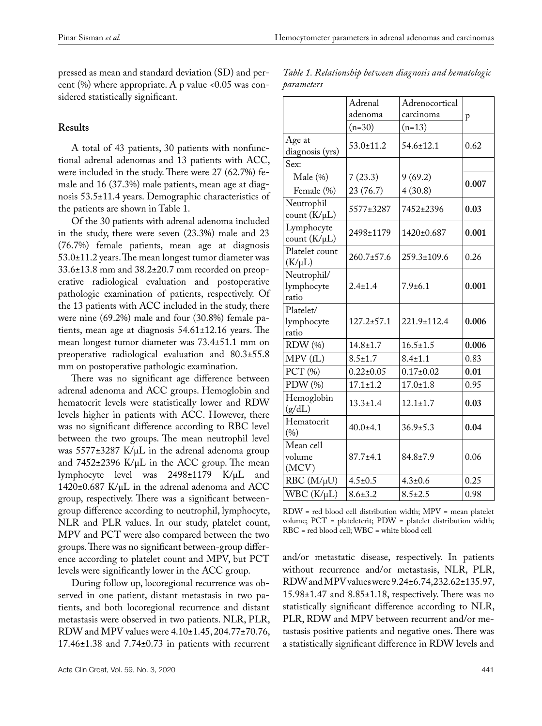pressed as mean and standard deviation (SD) and percent  $(\%)$  where appropriate. A p value <0.05 was considered statistically significant.

# **Results**

A total of 43 patients, 30 patients with nonfunctional adrenal adenomas and 13 patients with ACC, were included in the study. There were 27 (62.7%) female and 16 (37.3%) male patients, mean age at diagnosis 53.5±11.4 years. Demographic characteristics of the patients are shown in Table 1.

Of the 30 patients with adrenal adenoma included in the study, there were seven (23.3%) male and 23 (76.7%) female patients, mean age at diagnosis 53.0±11.2 years. The mean longest tumor diameter was 33.6±13.8 mm and 38.2±20.7 mm recorded on preoperative radiological evaluation and postoperative pathologic examination of patients, respectively. Of the 13 patients with ACC included in the study, there were nine (69.2%) male and four (30.8%) female patients, mean age at diagnosis 54.61±12.16 years. The mean longest tumor diameter was 73.4±51.1 mm on preoperative radiological evaluation and 80.3±55.8 mm on postoperative pathologic examination.

There was no significant age difference between adrenal adenoma and ACC groups. Hemoglobin and hematocrit levels were statistically lower and RDW levels higher in patients with ACC. However, there was no significant difference according to RBC level between the two groups. The mean neutrophil level was 5577±3287 K/µL in the adrenal adenoma group and  $7452\pm2396$  K/ $\mu$ L in the ACC group. The mean lymphocyte level was 2498±1179 K/µL and  $1420\pm0.687$  K/ $\mu$ L in the adrenal adenoma and ACC group, respectively. There was a significant betweengroup difference according to neutrophil, lymphocyte, NLR and PLR values. In our study, platelet count, MPV and PCT were also compared between the two groups. There was no significant between-group difference according to platelet count and MPV, but PCT levels were significantly lower in the ACC group.

During follow up, locoregional recurrence was observed in one patient, distant metastasis in two patients, and both locoregional recurrence and distant metastasis were observed in two patients. NLR, PLR, RDW and MPV values were 4.10±1.45, 204.77±70.76,  $17.46\pm1.38$  and  $7.74\pm0.73$  in patients with recurrent

*Table 1. Relationship between diagnosis and hematologic parameters*

|                                    | Adrenal         | Adrenocortical  |       |
|------------------------------------|-----------------|-----------------|-------|
|                                    | adenoma         | carcinoma       | p     |
|                                    | $(n=30)$        | $(n=13)$        |       |
| Age at<br>diagnosis (yrs)          | $53.0 \pm 11.2$ | $54.6 \pm 12.1$ | 0.62  |
| Sex:                               |                 |                 |       |
| Male (%)                           | 7(23.3)         | 9(69.2)         |       |
| Female (%)                         | 23 (76.7)       | 4(30.8)         | 0.007 |
| Neutrophil<br>count $(K/\mu L)$    | 5577±3287       | 7452±2396       | 0.03  |
| Lymphocyte<br>count $(K/\mu L)$    | 2498±1179       | 1420±0.687      | 0.001 |
| Platelet count<br>$(K/\mu L)$      | 260.7±57.6      | 259.3±109.6     | 0.26  |
| Neutrophil/<br>lymphocyte<br>ratio | $2.4 \pm 1.4$   | $7.9 \pm 6.1$   | 0.001 |
| Platelet/<br>lymphocyte<br>ratio   | $127.2 + 57.1$  | 221.9±112.4     | 0.006 |
| RDW (%)                            | $14.8 \pm 1.7$  | $16.5 \pm 1.5$  | 0.006 |
| MPV (fL)                           | $8.5 \pm 1.7$   | $8.4 \pm 1.1$   | 0.83  |
| PCT (%)                            | $0.22 \pm 0.05$ | $0.17 \pm 0.02$ | 0.01  |
| PDW (%)                            | $17.1 \pm 1.2$  | $17.0 \pm 1.8$  | 0.95  |
| Hemoglobin<br>(g/dL)               | $13.3 \pm 1.4$  | $12.1 \pm 1.7$  | 0.03  |
| Hematocrit<br>(%)                  | $40.0 \pm 4.1$  | $36.9{\pm}5.3$  | 0.04  |
| Mean cell<br>volume<br>(MCV)       | $87.7 + 4.1$    | $84.8 \pm 7.9$  | 0.06  |
| $RBC (M/\mu U)$                    | $4.5 \pm 0.5$   | $4.3 \pm 0.6$   | 0.25  |
| $WBC (K/\mu L)$                    | $8.6 \pm 3.2$   | $8.5 \pm 2.5$   | 0.98  |

RDW = red blood cell distribution width; MPV = mean platelet volume; PCT = plateletcrit; PDW = platelet distribution width; RBC = red blood cell; WBC = white blood cell

and/or metastatic disease, respectively. In patients without recurrence and/or metastasis, NLR, PLR, RDW and MPV values were 9.24±6.74, 232.62±135.97, 15.98±1.47 and 8.85±1.18, respectively. There was no statistically significant difference according to NLR, PLR, RDW and MPV between recurrent and/or metastasis positive patients and negative ones. There was a statistically significant difference in RDW levels and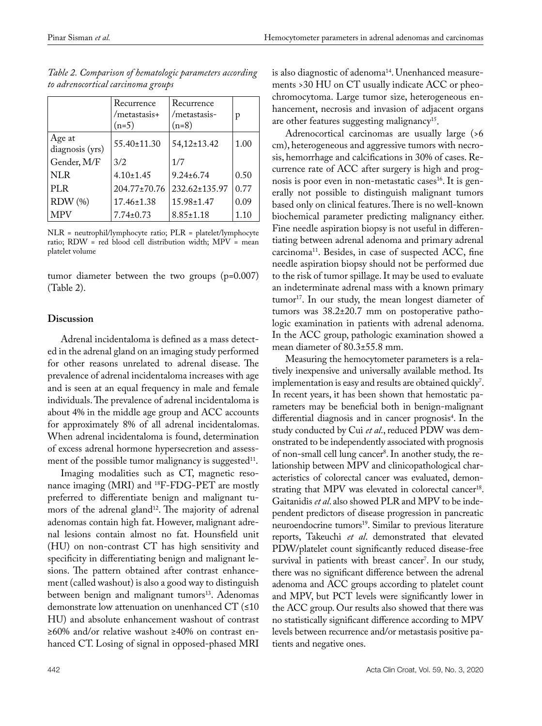|                           | Recurrence<br>/metastasis+<br>$(n=5)$ | Recurrence<br>/metastasis-<br>$(n=8)$ | p    |
|---------------------------|---------------------------------------|---------------------------------------|------|
| Age at<br>diagnosis (yrs) | $55.40 \pm 11.30$                     | 54,12±13.42                           | 1.00 |
| Gender, M/F               | 3/2                                   | 1/7                                   |      |
| NLR                       | $4.10 \pm 1.45$                       | $9.24 \pm 6.74$                       | 0.50 |
| PLR                       | $204.77 \pm 70.76$                    | $232.62 \pm 135.97$                   | 0.77 |
| RDW <sub>(</sub> %)       | $17.46 \pm 1.38$                      | $15.98 \pm 1.47$                      | 0.09 |
| <b>MPV</b>                | $7.74 \pm 0.73$                       | $8.85 \pm 1.18$                       | 1.10 |

*Table 2. Comparison of hematologic parameters according to adrenocortical carcinoma groups*

NLR = neutrophil/lymphocyte ratio; PLR = platelet/lymphocyte ratio; RDW = red blood cell distribution width; MPV = mean platelet volume

tumor diameter between the two groups (p=0.007) (Table 2).

# **Discussion**

Adrenal incidentaloma is defined as a mass detected in the adrenal gland on an imaging study performed for other reasons unrelated to adrenal disease. The prevalence of adrenal incidentaloma increases with age and is seen at an equal frequency in male and female individuals. The prevalence of adrenal incidentaloma is about 4% in the middle age group and ACC accounts for approximately 8% of all adrenal incidentalomas. When adrenal incidentaloma is found, determination of excess adrenal hormone hypersecretion and assessment of the possible tumor malignancy is suggested<sup>11</sup>.

Imaging modalities such as CT, magnetic resonance imaging (MRI) and 18F-FDG-PET are mostly preferred to differentiate benign and malignant tumors of the adrenal gland<sup>12</sup>. The majority of adrenal adenomas contain high fat. However, malignant adrenal lesions contain almost no fat. Hounsfield unit (HU) on non-contrast CT has high sensitivity and specificity in differentiating benign and malignant lesions. The pattern obtained after contrast enhancement (called washout) is also a good way to distinguish between benign and malignant tumors<sup>13</sup>. Adenomas demonstrate low attenuation on unenhanced CT (≤10 HU) and absolute enhancement washout of contrast ≥60% and/or relative washout ≥40% on contrast enhanced CT. Losing of signal in opposed-phased MRI is also diagnostic of adenoma<sup>14</sup>. Unenhanced measurements >30 HU on CT usually indicate ACC or pheochromocytoma. Large tumor size, heterogeneous enhancement, necrosis and invasion of adjacent organs are other features suggesting malignancy<sup>15</sup>.

Adrenocortical carcinomas are usually large (>6 cm), heterogeneous and aggressive tumors with necrosis, hemorrhage and calcifications in 30% of cases. Recurrence rate of ACC after surgery is high and prognosis is poor even in non-metastatic cases<sup>16</sup>. It is generally not possible to distinguish malignant tumors based only on clinical features. There is no well-known biochemical parameter predicting malignancy either. Fine needle aspiration biopsy is not useful in differentiating between adrenal adenoma and primary adrenal carcinoma<sup>11</sup>. Besides, in case of suspected ACC, fine needle aspiration biopsy should not be performed due to the risk of tumor spillage. It may be used to evaluate an indeterminate adrenal mass with a known primary  $t$ umor<sup>17</sup>. In our study, the mean longest diameter of tumors was 38.2±20.7 mm on postoperative pathologic examination in patients with adrenal adenoma. In the ACC group, pathologic examination showed a mean diameter of 80.3±55.8 mm.

Measuring the hemocytometer parameters is a relatively inexpensive and universally available method. Its implementation is easy and results are obtained quickly<sup>7</sup>. In recent years, it has been shown that hemostatic parameters may be beneficial both in benign-malignant differential diagnosis and in cancer prognosis<sup>4</sup>. In the study conducted by Cui *et al*., reduced PDW was demonstrated to be independently associated with prognosis of non-small cell lung cancer<sup>8</sup>. In another study, the relationship between MPV and clinicopathological characteristics of colorectal cancer was evaluated, demonstrating that MPV was elevated in colorectal cancer<sup>18</sup>. Gaitanidis *et al*. also showed PLR and MPV to be independent predictors of disease progression in pancreatic neuroendocrine tumors<sup>19</sup>. Similar to previous literature reports, Takeuchi *et al*. demonstrated that elevated PDW/platelet count significantly reduced disease-free survival in patients with breast cancer<sup>7</sup>. In our study, there was no significant difference between the adrenal adenoma and ACC groups according to platelet count and MPV, but PCT levels were significantly lower in the ACC group. Our results also showed that there was no statistically significant difference according to MPV levels between recurrence and/or metastasis positive patients and negative ones.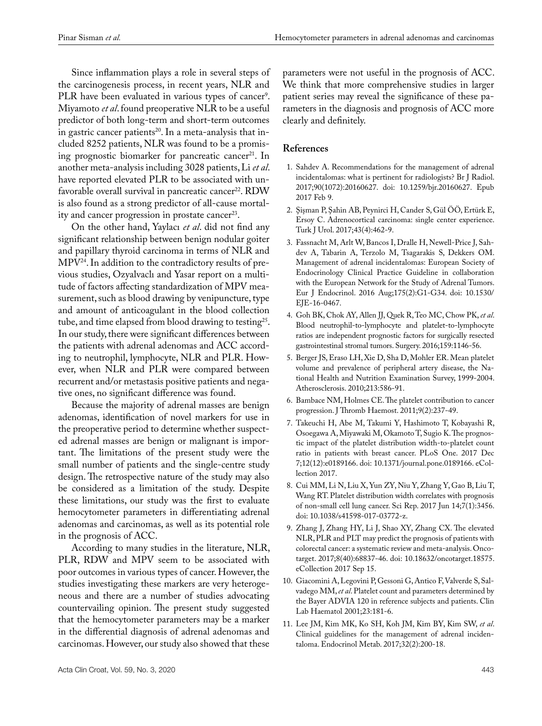Since inflammation plays a role in several steps of the carcinogenesis process, in recent years, NLR and PLR have been evaluated in various types of cancer<sup>9</sup>. Miyamoto *et al*. found preoperative NLR to be a useful predictor of both long-term and short-term outcomes in gastric cancer patients<sup>20</sup>. In a meta-analysis that included 8252 patients, NLR was found to be a promising prognostic biomarker for pancreatic cancer<sup>21</sup>. In another meta-analysis including 3028 patients, Li *et al*. have reported elevated PLR to be associated with unfavorable overall survival in pancreatic cancer<sup>22</sup>. RDW is also found as a strong predictor of all-cause mortality and cancer progression in prostate cancer<sup>23</sup>.

On the other hand, Yaylacı *et al*. did not find any significant relationship between benign nodular goiter and papillary thyroid carcinoma in terms of NLR and MPV24. In addition to the contradictory results of previous studies, Ozyalvaclı and Yasar report on a multitude of factors affecting standardization of MPV measurement, such as blood drawing by venipuncture, type and amount of anticoagulant in the blood collection tube, and time elapsed from blood drawing to testing<sup>25</sup>. In our study, there were significant differences between the patients with adrenal adenomas and ACC according to neutrophil, lymphocyte, NLR and PLR. However, when NLR and PLR were compared between recurrent and/or metastasis positive patients and negative ones, no significant difference was found.

Because the majority of adrenal masses are benign adenomas, identification of novel markers for use in the preoperative period to determine whether suspected adrenal masses are benign or malignant is important. The limitations of the present study were the small number of patients and the single-centre study design. The retrospective nature of the study may also be considered as a limitation of the study. Despite these limitations, our study was the first to evaluate hemocytometer parameters in differentiating adrenal adenomas and carcinomas, as well as its potential role in the prognosis of ACC.

According to many studies in the literature, NLR, PLR, RDW and MPV seem to be associated with poor outcomes in various types of cancer. However, the studies investigating these markers are very heterogeneous and there are a number of studies advocating countervailing opinion. The present study suggested that the hemocytometer parameters may be a marker in the differential diagnosis of adrenal adenomas and carcinomas. However, our study also showed that these

parameters were not useful in the prognosis of ACC. We think that more comprehensive studies in larger patient series may reveal the significance of these parameters in the diagnosis and prognosis of ACC more clearly and definitely.

# **References**

- 1. Sahdev A. Recommendations for the management of adrenal incidentalomas: what is pertinent for radiologists? [Br J Radiol.](https://www.ncbi.nlm.nih.gov/pubmed/?term=1.%09Sahdev+A.+Recommendations+for+the+management+of+edrenal+incidentalomas%3A+what+is+pertinent+for+radiologists%3F.) 2017;90(1072):20160627. doi: 10.1259/bjr.20160627. Epub 2017 Feb 9.
- 2. Şişman P, Şahin AB, Peynirci H, Cander S, Gül ÖÖ, Ertürk E, Ersoy C. Adrenocortical carcinoma: single center experience. Turk J Urol. 2017;43(4):462-9.
- 3. Fassnacht M, Arlt W, Bancos I, Dralle H, Newell-Price J, Sahdev A, Tabarin A, Terzolo M, Tsagarakis S, Dekkers OM. Management of adrenal incidentalomas: European Society of Endocrinology Clinical Practice Guideline in collaboration with the European Network for the Study of Adrenal Tumors. Eur J Endocrinol. 2016 Aug;175(2):G1-G34. doi: 10.1530/ EJE-16-0467.
- 4. Goh BK, Chok AY, Allen JJ, Quek R, Teo MC, Chow PK, *et al*. Blood neutrophil-to-lymphocyte and platelet-to-lymphocyte ratios are independent prognostic factors for surgically resected gastrointestinal stromal tumors. Surgery. 2016;159:1146-56.
- 5. Berger JS, Eraso LH, Xie D, Sha D, Mohler ER. Mean platelet volume and prevalence of peripheral artery disease, the National Health and Nutrition Examination Survey, 1999-2004. Atherosclerosis. 2010;213:586-91.
- 6. Bambace NM, Holmes CE. The platelet contribution to cancer progression. J Thromb Haemost. 2011;9(2):237-49.
- 7. [Takeuchi H](https://www.ncbi.nlm.nih.gov/pubmed/?term=Takeuchi H%5BAuthor%5D&cauthor=true&cauthor_uid=29216259), [Abe M](https://www.ncbi.nlm.nih.gov/pubmed/?term=Abe M%5BAuthor%5D&cauthor=true&cauthor_uid=29216259), [Takumi Y](https://www.ncbi.nlm.nih.gov/pubmed/?term=Takumi Y%5BAuthor%5D&cauthor=true&cauthor_uid=29216259), [Hashimoto T](https://www.ncbi.nlm.nih.gov/pubmed/?term=Hashimoto T%5BAuthor%5D&cauthor=true&cauthor_uid=29216259), [Kobayashi R,](https://www.ncbi.nlm.nih.gov/pubmed/?term=Kobayashi R%5BAuthor%5D&cauthor=true&cauthor_uid=29216259) [Osoegawa A,](https://www.ncbi.nlm.nih.gov/pubmed/?term=Osoegawa A%5BAuthor%5D&cauthor=true&cauthor_uid=29216259) [Miyawaki M](https://www.ncbi.nlm.nih.gov/pubmed/?term=Miyawaki M%5BAuthor%5D&cauthor=true&cauthor_uid=29216259), [Okamoto T,](https://www.ncbi.nlm.nih.gov/pubmed/?term=Okamoto T%5BAuthor%5D&cauthor=true&cauthor_uid=29216259) [Sugio K.](https://www.ncbi.nlm.nih.gov/pubmed/?term=Sugio K%5BAuthor%5D&cauthor=true&cauthor_uid=29216259) The prognostic impact of the platelet distribution width-to-platelet count ratio in patients with breast cancer. [PLoS One.](https://www.ncbi.nlm.nih.gov/pubmed/29216259) 2017 Dec 7;12(12):e0189166. doi: 10.1371/journal.pone.0189166. eCollection 2017.
- 8. [Cui MM](https://www.ncbi.nlm.nih.gov/pubmed/?term=Cui MM%5BAuthor%5D&cauthor=true&cauthor_uid=28615714), [Li N](https://www.ncbi.nlm.nih.gov/pubmed/?term=Li N%5BAuthor%5D&cauthor=true&cauthor_uid=28615714), [Liu X,](https://www.ncbi.nlm.nih.gov/pubmed/?term=Liu X%5BAuthor%5D&cauthor=true&cauthor_uid=28615714) [Yun ZY](https://www.ncbi.nlm.nih.gov/pubmed/?term=Yun ZY%5BAuthor%5D&cauthor=true&cauthor_uid=28615714), [Niu Y](https://www.ncbi.nlm.nih.gov/pubmed/?term=Niu Y%5BAuthor%5D&cauthor=true&cauthor_uid=28615714), [Zhang Y,](https://www.ncbi.nlm.nih.gov/pubmed/?term=Zhang Y%5BAuthor%5D&cauthor=true&cauthor_uid=28615714) [Gao B](https://www.ncbi.nlm.nih.gov/pubmed/?term=Gao B%5BAuthor%5D&cauthor=true&cauthor_uid=28615714), [Liu T,](https://www.ncbi.nlm.nih.gov/pubmed/?term=Liu T%5BAuthor%5D&cauthor=true&cauthor_uid=28615714) [Wang RT.](https://www.ncbi.nlm.nih.gov/pubmed/?term=Wang RT%5BAuthor%5D&cauthor=true&cauthor_uid=28615714) Platelet distribution width correlates with prognosis of non-small cell lung cancer. [Sci Rep.](https://www.ncbi.nlm.nih.gov/pubmed/28615714) 2017 Jun 14;7(1):3456. doi: 10.1038/s41598-017-03772-z.
- 9. Zhang J, Zhang HY, Li J, Shao XY, Zhang CX. The elevated NLR, PLR and PLT may predict the prognosis of patients with colorectal cancer: a systematic review and meta-analysis. Oncotarget. 2017;8(40):68837-46. doi: 10.18632/oncotarget.18575. eCollection 2017 Sep 15.
- 10. Giacomini A, Legovini P, Gessoni G, Antico F, Valverde S, Salvadego MM, *et al*. Platelet count and parameters determined by the Bayer ADVIA 120 in reference subjects and patients. Clin Lab Haematol 2001;23:181-6.
- 11. Lee JM, Kim MK, Ko SH, Koh JM, Kim BY, Kim SW, *et al*. Clinical guidelines for the management of adrenal incidentaloma. Endocrinol Metab. 2017;32(2):200-18.